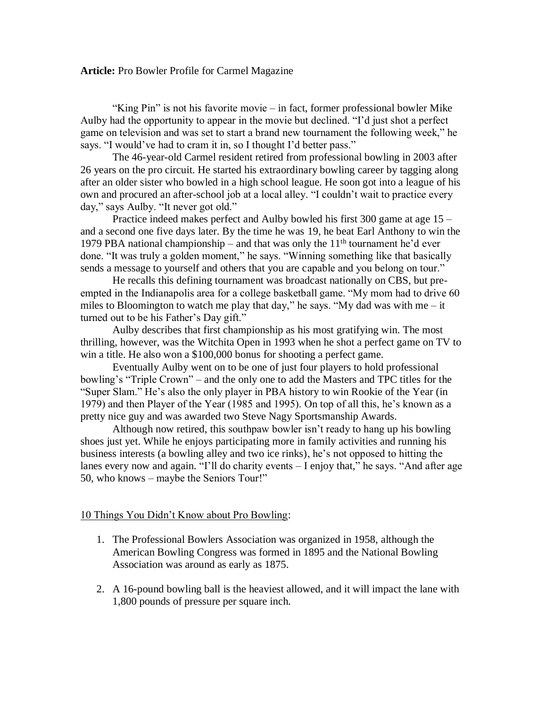## **Article:** Pro Bowler Profile for Carmel Magazine

"King Pin" is not his favorite movie – in fact, former professional bowler Mike Aulby had the opportunity to appear in the movie but declined. "I'd just shot a perfect game on television and was set to start a brand new tournament the following week," he says. "I would've had to cram it in, so I thought I'd better pass."

The 46-year-old Carmel resident retired from professional bowling in 2003 after 26 years on the pro circuit. He started his extraordinary bowling career by tagging along after an older sister who bowled in a high school league. He soon got into a league of his own and procured an after-school job at a local alley. "I couldn't wait to practice every day," says Aulby. "It never got old."

Practice indeed makes perfect and Aulby bowled his first 300 game at age 15 – and a second one five days later. By the time he was 19, he beat Earl Anthony to win the 1979 PBA national championship – and that was only the  $11<sup>th</sup>$  tournament he'd ever done. "It was truly a golden moment," he says. "Winning something like that basically sends a message to yourself and others that you are capable and you belong on tour."

He recalls this defining tournament was broadcast nationally on CBS, but preempted in the Indianapolis area for a college basketball game. "My mom had to drive 60 miles to Bloomington to watch me play that day," he says. "My dad was with me – it turned out to be his Father's Day gift."

Aulby describes that first championship as his most gratifying win. The most thrilling, however, was the Witchita Open in 1993 when he shot a perfect game on TV to win a title. He also won a \$100,000 bonus for shooting a perfect game.

Eventually Aulby went on to be one of just four players to hold professional bowling's "Triple Crown" – and the only one to add the Masters and TPC titles for the "Super Slam." He's also the only player in PBA history to win Rookie of the Year (in 1979) and then Player of the Year (1985 and 1995). On top of all this, he's known as a pretty nice guy and was awarded two Steve Nagy Sportsmanship Awards.

Although now retired, this southpaw bowler isn't ready to hang up his bowling shoes just yet. While he enjoys participating more in family activities and running his business interests (a bowling alley and two ice rinks), he's not opposed to hitting the lanes every now and again. "I'll do charity events – I enjoy that," he says. "And after age 50, who knows – maybe the Seniors Tour!"

## 10 Things You Didn't Know about Pro Bowling:

- 1. The Professional Bowlers Association was organized in 1958, although the American Bowling Congress was formed in 1895 and the National Bowling Association was around as early as 1875.
- 2. A 16-pound bowling ball is the heaviest allowed, and it will impact the lane with 1,800 pounds of pressure per square inch.